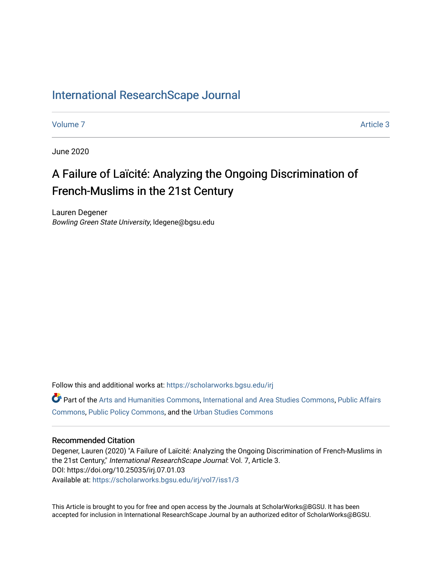## [International ResearchScape Journal](https://scholarworks.bgsu.edu/irj)

[Volume 7](https://scholarworks.bgsu.edu/irj/vol7) Article 3

June 2020

# A Failure of Laïcité: Analyzing the Ongoing Discrimination of French-Muslims in the 21st Century

Lauren Degener Bowling Green State University, ldegene@bgsu.edu

Follow this and additional works at: [https://scholarworks.bgsu.edu/irj](https://scholarworks.bgsu.edu/irj?utm_source=scholarworks.bgsu.edu%2Firj%2Fvol7%2Fiss1%2F3&utm_medium=PDF&utm_campaign=PDFCoverPages) 

Part of the [Arts and Humanities Commons,](http://network.bepress.com/hgg/discipline/438?utm_source=scholarworks.bgsu.edu%2Firj%2Fvol7%2Fiss1%2F3&utm_medium=PDF&utm_campaign=PDFCoverPages) [International and Area Studies Commons,](http://network.bepress.com/hgg/discipline/360?utm_source=scholarworks.bgsu.edu%2Firj%2Fvol7%2Fiss1%2F3&utm_medium=PDF&utm_campaign=PDFCoverPages) [Public Affairs](http://network.bepress.com/hgg/discipline/399?utm_source=scholarworks.bgsu.edu%2Firj%2Fvol7%2Fiss1%2F3&utm_medium=PDF&utm_campaign=PDFCoverPages)  [Commons](http://network.bepress.com/hgg/discipline/399?utm_source=scholarworks.bgsu.edu%2Firj%2Fvol7%2Fiss1%2F3&utm_medium=PDF&utm_campaign=PDFCoverPages), [Public Policy Commons,](http://network.bepress.com/hgg/discipline/400?utm_source=scholarworks.bgsu.edu%2Firj%2Fvol7%2Fiss1%2F3&utm_medium=PDF&utm_campaign=PDFCoverPages) and the [Urban Studies Commons](http://network.bepress.com/hgg/discipline/402?utm_source=scholarworks.bgsu.edu%2Firj%2Fvol7%2Fiss1%2F3&utm_medium=PDF&utm_campaign=PDFCoverPages) 

#### Recommended Citation

Degener, Lauren (2020) "A Failure of Laïcité: Analyzing the Ongoing Discrimination of French-Muslims in the 21st Century," International ResearchScape Journal: Vol. 7, Article 3. DOI: https://doi.org/10.25035/irj.07.01.03 Available at: [https://scholarworks.bgsu.edu/irj/vol7/iss1/3](https://scholarworks.bgsu.edu/irj/vol7/iss1/3?utm_source=scholarworks.bgsu.edu%2Firj%2Fvol7%2Fiss1%2F3&utm_medium=PDF&utm_campaign=PDFCoverPages)

This Article is brought to you for free and open access by the Journals at ScholarWorks@BGSU. It has been accepted for inclusion in International ResearchScape Journal by an authorized editor of ScholarWorks@BGSU.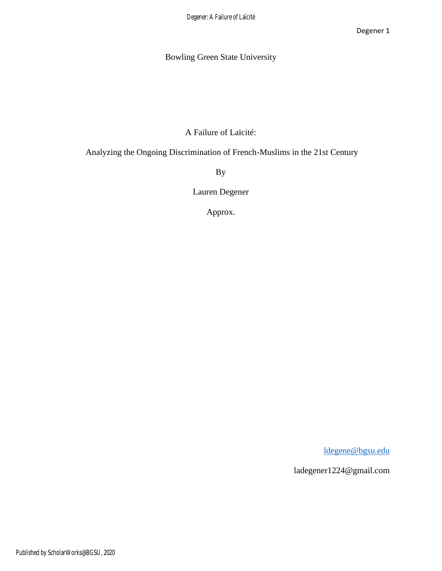## Bowling Green State University

A Failure of Laïcité:

Analyzing the Ongoing Discrimination of French-Muslims in the 21st Century

By

Lauren Degener

Approx.

[ldegene@bgsu.edu](mailto:ldegene@bgsu.edu)

ladegener1224@gmail.com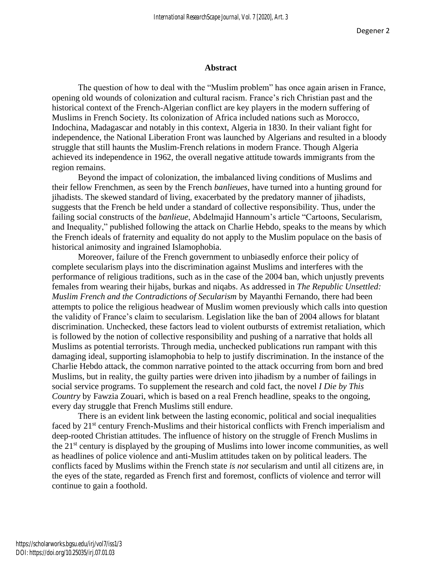#### **Abstract**

The question of how to deal with the "Muslim problem" has once again arisen in France, opening old wounds of colonization and cultural racism. France's rich Christian past and the historical context of the French-Algerian conflict are key players in the modern suffering of Muslims in French Society. Its colonization of Africa included nations such as Morocco, Indochina, Madagascar and notably in this context, Algeria in 1830. In their valiant fight for independence, the National Liberation Front was launched by Algerians and resulted in a bloody struggle that still haunts the Muslim-French relations in modern France. Though Algeria achieved its independence in 1962, the overall negative attitude towards immigrants from the region remains.

Beyond the impact of colonization, the imbalanced living conditions of Muslims and their fellow Frenchmen, as seen by the French *banlieues*, have turned into a hunting ground for jihadists. The skewed standard of living, exacerbated by the predatory manner of jihadists, suggests that the French be held under a standard of collective responsibility. Thus, under the failing social constructs of the *banlieue*, Abdelmajid Hannoum's article "Cartoons, Secularism, and Inequality," published following the attack on Charlie Hebdo, speaks to the means by which the French ideals of fraternity and equality do not apply to the Muslim populace on the basis of historical animosity and ingrained Islamophobia.

Moreover, failure of the French government to unbiasedly enforce their policy of complete secularism plays into the discrimination against Muslims and interferes with the performance of religious traditions, such as in the case of the 2004 ban, which unjustly prevents females from wearing their hijabs, burkas and niqabs. As addressed in *The Republic Unsettled: Muslim French and the Contradictions of Secularism* by Mayanthi Fernando, there had been attempts to police the religious headwear of Muslim women previously which calls into question the validity of France's claim to secularism. Legislation like the ban of 2004 allows for blatant discrimination. Unchecked, these factors lead to violent outbursts of extremist retaliation, which is followed by the notion of collective responsibility and pushing of a narrative that holds all Muslims as potential terrorists. Through media, unchecked publications run rampant with this damaging ideal, supporting islamophobia to help to justify discrimination. In the instance of the Charlie Hebdo attack, the common narrative pointed to the attack occurring from born and bred Muslims, but in reality, the guilty parties were driven into jihadism by a number of failings in social service programs. To supplement the research and cold fact, the novel *I Die by This Country* by Fawzia Zouari, which is based on a real French headline, speaks to the ongoing, every day struggle that French Muslims still endure.

There is an evident link between the lasting economic, political and social inequalities faced by 21<sup>st</sup> century French-Muslims and their historical conflicts with French imperialism and deep-rooted Christian attitudes. The influence of history on the struggle of French Muslims in the 21st century is displayed by the grouping of Muslims into lower income communities, as well as headlines of police violence and anti-Muslim attitudes taken on by political leaders. The conflicts faced by Muslims within the French state *is not* secularism and until all citizens are, in the eyes of the state, regarded as French first and foremost, conflicts of violence and terror will continue to gain a foothold.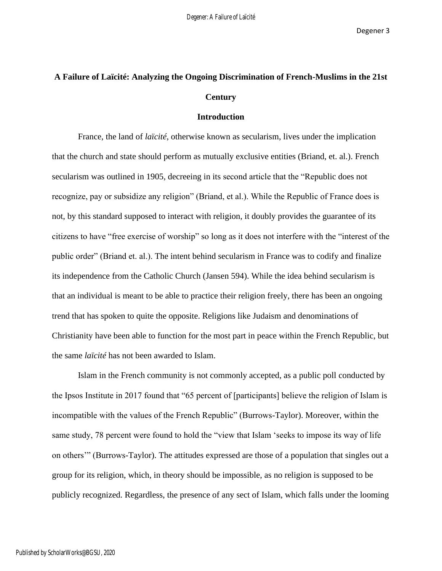## **A Failure of Laïcité: Analyzing the Ongoing Discrimination of French-Muslims in the 21st Century**

#### **Introduction**

France, the land of *laïcité*, otherwise known as secularism, lives under the implication that the church and state should perform as mutually exclusive entities (Briand, et. al.). French secularism was outlined in 1905, decreeing in its second article that the "Republic does not recognize, pay or subsidize any religion" (Briand, et al.). While the Republic of France does is not, by this standard supposed to interact with religion, it doubly provides the guarantee of its citizens to have "free exercise of worship" so long as it does not interfere with the "interest of the public order" (Briand et. al.). The intent behind secularism in France was to codify and finalize its independence from the Catholic Church (Jansen 594). While the idea behind secularism is that an individual is meant to be able to practice their religion freely, there has been an ongoing trend that has spoken to quite the opposite. Religions like Judaism and denominations of Christianity have been able to function for the most part in peace within the French Republic, but the same *laïcité* has not been awarded to Islam.

Islam in the French community is not commonly accepted, as a public poll conducted by the Ipsos Institute in 2017 found that "65 percent of [participants] believe the religion of Islam is incompatible with the values of the French Republic" (Burrows-Taylor). Moreover, within the same study, 78 percent were found to hold the "view that Islam 'seeks to impose its way of life on others'" (Burrows-Taylor). The attitudes expressed are those of a population that singles out a group for its religion, which, in theory should be impossible, as no religion is supposed to be publicly recognized. Regardless, the presence of any sect of Islam, which falls under the looming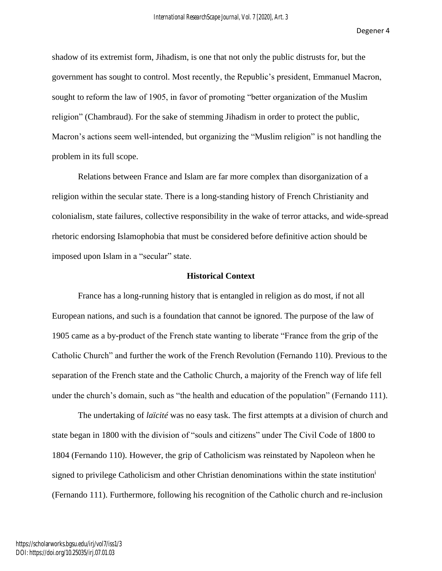shadow of its extremist form, Jihadism, is one that not only the public distrusts for, but the government has sought to control. Most recently, the Republic's president, Emmanuel Macron, sought to reform the law of 1905, in favor of promoting "better organization of the Muslim religion" (Chambraud). For the sake of stemming Jihadism in order to protect the public, Macron's actions seem well-intended, but organizing the "Muslim religion" is not handling the problem in its full scope.

Relations between France and Islam are far more complex than disorganization of a religion within the secular state. There is a long-standing history of French Christianity and colonialism, state failures, collective responsibility in the wake of terror attacks, and wide-spread rhetoric endorsing Islamophobia that must be considered before definitive action should be imposed upon Islam in a "secular" state.

#### **Historical Context**

France has a long-running history that is entangled in religion as do most, if not all European nations, and such is a foundation that cannot be ignored. The purpose of the law of 1905 came as a by-product of the French state wanting to liberate "France from the grip of the Catholic Church" and further the work of the French Revolution (Fernando 110). Previous to the separation of the French state and the Catholic Church, a majority of the French way of life fell under the church's domain, such as "the health and education of the population" (Fernando 111).

The undertaking of *laïcité* was no easy task. The first attempts at a division of church and state began in 1800 with the division of "souls and citizens" under The Civil Code of 1800 to 1804 (Fernando 110). However, the grip of Catholicism was reinstated by Napoleon when he signed to privilege Catholicism and other Christian denominations within the state institution<sup>1</sup> (Fernando 111). Furthermore, following his recognition of the Catholic church and re-inclusion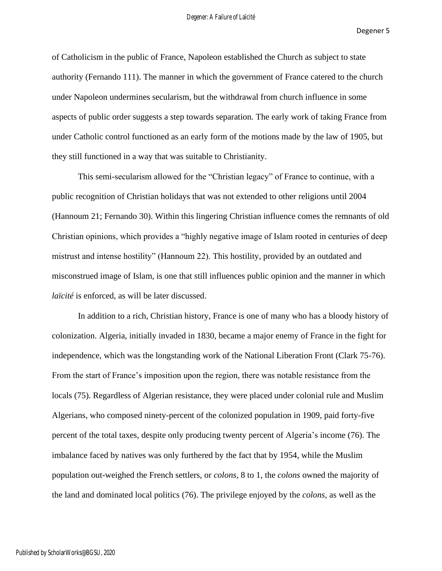of Catholicism in the public of France, Napoleon established the Church as subject to state authority (Fernando 111). The manner in which the government of France catered to the church under Napoleon undermines secularism, but the withdrawal from church influence in some aspects of public order suggests a step towards separation. The early work of taking France from under Catholic control functioned as an early form of the motions made by the law of 1905, but they still functioned in a way that was suitable to Christianity.

This semi-secularism allowed for the "Christian legacy" of France to continue, with a public recognition of Christian holidays that was not extended to other religions until 2004 (Hannoum 21; Fernando 30). Within this lingering Christian influence comes the remnants of old Christian opinions, which provides a "highly negative image of Islam rooted in centuries of deep mistrust and intense hostility" (Hannoum 22). This hostility, provided by an outdated and misconstrued image of Islam, is one that still influences public opinion and the manner in which *laïcité* is enforced, as will be later discussed.

In addition to a rich, Christian history, France is one of many who has a bloody history of colonization. Algeria, initially invaded in 1830, became a major enemy of France in the fight for independence, which was the longstanding work of the National Liberation Front (Clark 75-76). From the start of France's imposition upon the region, there was notable resistance from the locals (75). Regardless of Algerian resistance, they were placed under colonial rule and Muslim Algerians, who composed ninety-percent of the colonized population in 1909, paid forty-five percent of the total taxes, despite only producing twenty percent of Algeria's income (76). The imbalance faced by natives was only furthered by the fact that by 1954, while the Muslim population out-weighed the French settlers, or *colons,* 8 to 1, the *colons* owned the majority of the land and dominated local politics (76). The privilege enjoyed by the *colons,* as well as the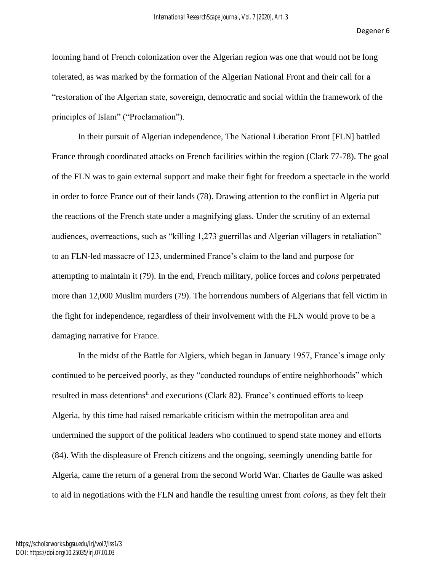looming hand of French colonization over the Algerian region was one that would not be long tolerated, as was marked by the formation of the Algerian National Front and their call for a "restoration of the Algerian state, sovereign, democratic and social within the framework of the principles of Islam" ("Proclamation").

In their pursuit of Algerian independence, The National Liberation Front [FLN] battled France through coordinated attacks on French facilities within the region (Clark 77-78). The goal of the FLN was to gain external support and make their fight for freedom a spectacle in the world in order to force France out of their lands (78). Drawing attention to the conflict in Algeria put the reactions of the French state under a magnifying glass. Under the scrutiny of an external audiences, overreactions, such as "killing 1,273 guerrillas and Algerian villagers in retaliation" to an FLN-led massacre of 123, undermined France's claim to the land and purpose for attempting to maintain it (79). In the end, French military, police forces and *colons* perpetrated more than 12,000 Muslim murders (79). The horrendous numbers of Algerians that fell victim in the fight for independence, regardless of their involvement with the FLN would prove to be a damaging narrative for France.

In the midst of the Battle for Algiers, which began in January 1957, France's image only continued to be perceived poorly, as they "conducted roundups of entire neighborhoods" which resulted in mass detentions<sup>ii</sup> and executions (Clark 82). France's continued efforts to keep Algeria, by this time had raised remarkable criticism within the metropolitan area and undermined the support of the political leaders who continued to spend state money and efforts (84). With the displeasure of French citizens and the ongoing, seemingly unending battle for Algeria, came the return of a general from the second World War. Charles de Gaulle was asked to aid in negotiations with the FLN and handle the resulting unrest from *colons*, as they felt their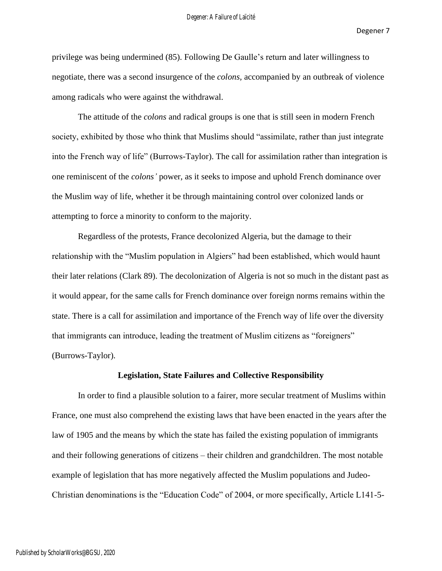privilege was being undermined (85). Following De Gaulle's return and later willingness to negotiate, there was a second insurgence of the *colons,* accompanied by an outbreak of violence among radicals who were against the withdrawal.

The attitude of the *colons* and radical groups is one that is still seen in modern French society, exhibited by those who think that Muslims should "assimilate, rather than just integrate into the French way of life" (Burrows-Taylor). The call for assimilation rather than integration is one reminiscent of the *colons'* power, as it seeks to impose and uphold French dominance over the Muslim way of life, whether it be through maintaining control over colonized lands or attempting to force a minority to conform to the majority.

Regardless of the protests, France decolonized Algeria, but the damage to their relationship with the "Muslim population in Algiers" had been established, which would haunt their later relations (Clark 89). The decolonization of Algeria is not so much in the distant past as it would appear, for the same calls for French dominance over foreign norms remains within the state. There is a call for assimilation and importance of the French way of life over the diversity that immigrants can introduce, leading the treatment of Muslim citizens as "foreigners" (Burrows-Taylor).

#### **Legislation, State Failures and Collective Responsibility**

In order to find a plausible solution to a fairer, more secular treatment of Muslims within France, one must also comprehend the existing laws that have been enacted in the years after the law of 1905 and the means by which the state has failed the existing population of immigrants and their following generations of citizens – their children and grandchildren. The most notable example of legislation that has more negatively affected the Muslim populations and Judeo-Christian denominations is the "Education Code" of 2004, or more specifically, Article L141-5-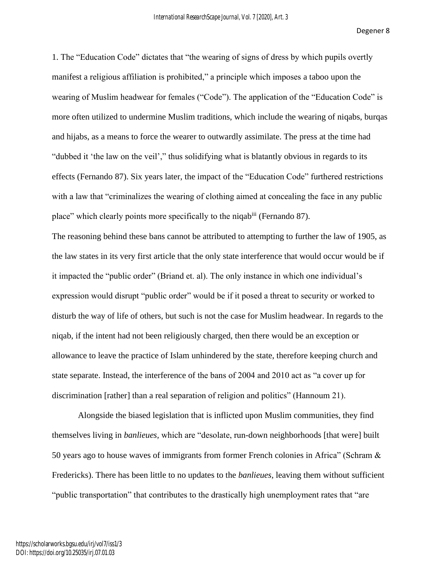1. The "Education Code" dictates that "the wearing of signs of dress by which pupils overtly manifest a religious affiliation is prohibited," a principle which imposes a taboo upon the wearing of Muslim headwear for females ("Code"). The application of the "Education Code" is more often utilized to undermine Muslim traditions, which include the wearing of niqabs, burqas and hijabs, as a means to force the wearer to outwardly assimilate. The press at the time had "dubbed it 'the law on the veil'," thus solidifying what is blatantly obvious in regards to its effects (Fernando 87). Six years later, the impact of the "Education Code" furthered restrictions with a law that "criminalizes the wearing of clothing aimed at concealing the face in any public place" which clearly points more specifically to the niqabiii (Fernando 87).

The reasoning behind these bans cannot be attributed to attempting to further the law of 1905, as the law states in its very first article that the only state interference that would occur would be if it impacted the "public order" (Briand et. al). The only instance in which one individual's expression would disrupt "public order" would be if it posed a threat to security or worked to disturb the way of life of others, but such is not the case for Muslim headwear. In regards to the niqab, if the intent had not been religiously charged, then there would be an exception or allowance to leave the practice of Islam unhindered by the state, therefore keeping church and state separate. Instead, the interference of the bans of 2004 and 2010 act as "a cover up for discrimination [rather] than a real separation of religion and politics" (Hannoum 21).

Alongside the biased legislation that is inflicted upon Muslim communities, they find themselves living in *banlieues,* which are "desolate, run-down neighborhoods [that were] built 50 years ago to house waves of immigrants from former French colonies in Africa" (Schram & Fredericks). There has been little to no updates to the *banlieues,* leaving them without sufficient "public transportation" that contributes to the drastically high unemployment rates that "are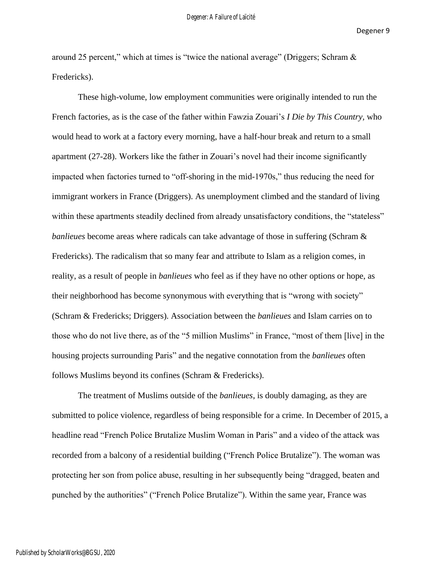around 25 percent," which at times is "twice the national average" (Driggers; Schram  $\&$ Fredericks).

These high-volume, low employment communities were originally intended to run the French factories, as is the case of the father within Fawzia Zouari's *I Die by This Country,* who would head to work at a factory every morning, have a half-hour break and return to a small apartment (27-28). Workers like the father in Zouari's novel had their income significantly impacted when factories turned to "off-shoring in the mid-1970s," thus reducing the need for immigrant workers in France (Driggers). As unemployment climbed and the standard of living within these apartments steadily declined from already unsatisfactory conditions, the "stateless" *banlieues* become areas where radicals can take advantage of those in suffering (Schram & Fredericks). The radicalism that so many fear and attribute to Islam as a religion comes, in reality, as a result of people in *banlieues* who feel as if they have no other options or hope, as their neighborhood has become synonymous with everything that is "wrong with society" (Schram & Fredericks; Driggers). Association between the *banlieues* and Islam carries on to those who do not live there, as of the "5 million Muslims" in France, "most of them [live] in the housing projects surrounding Paris" and the negative connotation from the *banlieues* often follows Muslims beyond its confines (Schram & Fredericks).

The treatment of Muslims outside of the *banlieues*, is doubly damaging, as they are submitted to police violence, regardless of being responsible for a crime. In December of 2015, a headline read "French Police Brutalize Muslim Woman in Paris" and a video of the attack was recorded from a balcony of a residential building ("French Police Brutalize"). The woman was protecting her son from police abuse, resulting in her subsequently being "dragged, beaten and punched by the authorities" ("French Police Brutalize"). Within the same year, France was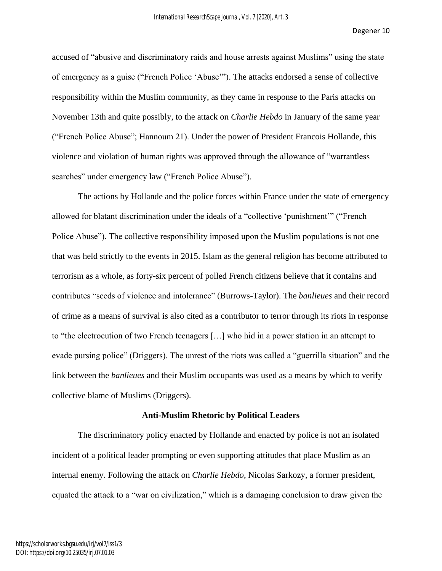accused of "abusive and discriminatory raids and house arrests against Muslims" using the state of emergency as a guise ("French Police 'Abuse'"). The attacks endorsed a sense of collective responsibility within the Muslim community, as they came in response to the Paris attacks on November 13th and quite possibly, to the attack on *Charlie Hebdo* in January of the same year ("French Police Abuse"; Hannoum 21). Under the power of President Francois Hollande, this violence and violation of human rights was approved through the allowance of "warrantless searches" under emergency law ("French Police Abuse").

The actions by Hollande and the police forces within France under the state of emergency allowed for blatant discrimination under the ideals of a "collective 'punishment'" ("French Police Abuse"). The collective responsibility imposed upon the Muslim populations is not one that was held strictly to the events in 2015. Islam as the general religion has become attributed to terrorism as a whole, as forty-six percent of polled French citizens believe that it contains and contributes "seeds of violence and intolerance" (Burrows-Taylor). The *banlieues* and their record of crime as a means of survival is also cited as a contributor to terror through its riots in response to "the electrocution of two French teenagers […] who hid in a power station in an attempt to evade pursing police" (Driggers). The unrest of the riots was called a "guerrilla situation" and the link between the *banlieues* and their Muslim occupants was used as a means by which to verify collective blame of Muslims (Driggers).

#### **Anti-Muslim Rhetoric by Political Leaders**

The discriminatory policy enacted by Hollande and enacted by police is not an isolated incident of a political leader prompting or even supporting attitudes that place Muslim as an internal enemy. Following the attack on *Charlie Hebdo*, Nicolas Sarkozy, a former president, equated the attack to a "war on civilization," which is a damaging conclusion to draw given the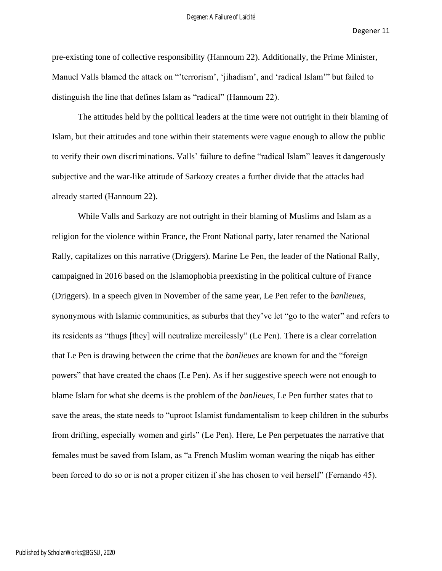pre-existing tone of collective responsibility (Hannoum 22). Additionally, the Prime Minister, Manuel Valls blamed the attack on "'terrorism', 'jihadism', and 'radical Islam'" but failed to distinguish the line that defines Islam as "radical" (Hannoum 22).

The attitudes held by the political leaders at the time were not outright in their blaming of Islam, but their attitudes and tone within their statements were vague enough to allow the public to verify their own discriminations. Valls' failure to define "radical Islam" leaves it dangerously subjective and the war-like attitude of Sarkozy creates a further divide that the attacks had already started (Hannoum 22).

While Valls and Sarkozy are not outright in their blaming of Muslims and Islam as a religion for the violence within France, the Front National party, later renamed the National Rally, capitalizes on this narrative (Driggers). Marine Le Pen, the leader of the National Rally, campaigned in 2016 based on the Islamophobia preexisting in the political culture of France (Driggers). In a speech given in November of the same year, Le Pen refer to the *banlieues,*  synonymous with Islamic communities, as suburbs that they've let "go to the water" and refers to its residents as "thugs [they] will neutralize mercilessly" (Le Pen). There is a clear correlation that Le Pen is drawing between the crime that the *banlieues* are known for and the "foreign powers" that have created the chaos (Le Pen). As if her suggestive speech were not enough to blame Islam for what she deems is the problem of the *banlieues*, Le Pen further states that to save the areas, the state needs to "uproot Islamist fundamentalism to keep children in the suburbs from drifting, especially women and girls" (Le Pen). Here, Le Pen perpetuates the narrative that females must be saved from Islam, as "a French Muslim woman wearing the niqab has either been forced to do so or is not a proper citizen if she has chosen to veil herself" (Fernando 45).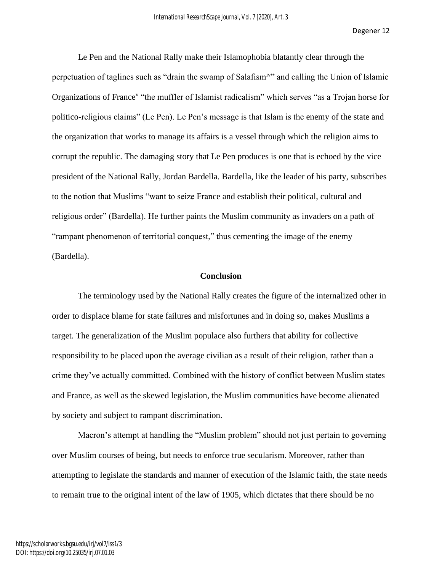Le Pen and the National Rally make their Islamophobia blatantly clear through the perpetuation of taglines such as "drain the swamp of Salafismiv" and calling the Union of Islamic Organizations of France<sup>v</sup> "the muffler of Islamist radicalism" which serves "as a Trojan horse for politico-religious claims" (Le Pen). Le Pen's message is that Islam is the enemy of the state and the organization that works to manage its affairs is a vessel through which the religion aims to corrupt the republic. The damaging story that Le Pen produces is one that is echoed by the vice president of the National Rally, Jordan Bardella. Bardella, like the leader of his party, subscribes to the notion that Muslims "want to seize France and establish their political, cultural and religious order" (Bardella). He further paints the Muslim community as invaders on a path of "rampant phenomenon of territorial conquest," thus cementing the image of the enemy (Bardella).

#### **Conclusion**

The terminology used by the National Rally creates the figure of the internalized other in order to displace blame for state failures and misfortunes and in doing so, makes Muslims a target. The generalization of the Muslim populace also furthers that ability for collective responsibility to be placed upon the average civilian as a result of their religion, rather than a crime they've actually committed. Combined with the history of conflict between Muslim states and France, as well as the skewed legislation, the Muslim communities have become alienated by society and subject to rampant discrimination.

Macron's attempt at handling the "Muslim problem" should not just pertain to governing over Muslim courses of being, but needs to enforce true secularism. Moreover, rather than attempting to legislate the standards and manner of execution of the Islamic faith, the state needs to remain true to the original intent of the law of 1905, which dictates that there should be no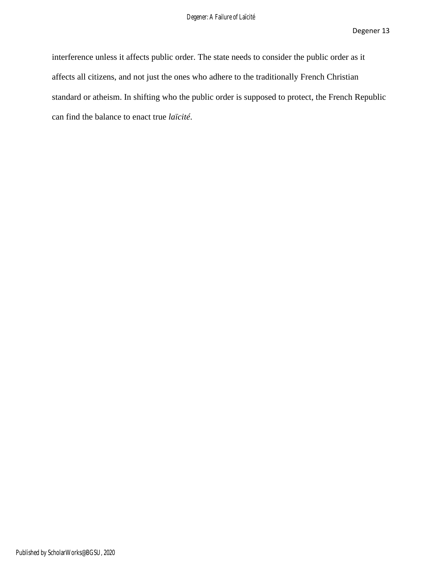interference unless it affects public order. The state needs to consider the public order as it affects all citizens, and not just the ones who adhere to the traditionally French Christian standard or atheism. In shifting who the public order is supposed to protect, the French Republic can find the balance to enact true *laïcité*.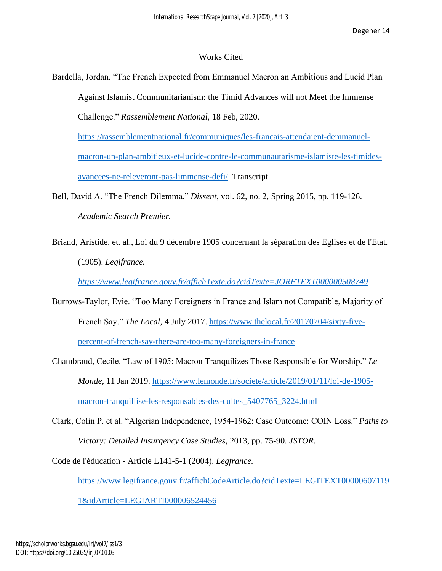### Works Cited

Bardella, Jordan. "The French Expected from Emmanuel Macron an Ambitious and Lucid Plan Against Islamist Communitarianism: the Timid Advances will not Meet the Immense Challenge." *Rassemblement National,* 18 Feb, 2020.

[https://rassemblementnational.fr/communiques/les-francais-attendaient-demmanuel](https://rassemblementnational.fr/communiques/les-francais-attendaient-demmanuel-macron-un-plan-ambitieux-et-lucide-contre-le-communautarisme-islamiste-les-timides-avancees-ne-releveront-pas-limmense-defi/)[macron-un-plan-ambitieux-et-lucide-contre-le-communautarisme-islamiste-les-timides](https://rassemblementnational.fr/communiques/les-francais-attendaient-demmanuel-macron-un-plan-ambitieux-et-lucide-contre-le-communautarisme-islamiste-les-timides-avancees-ne-releveront-pas-limmense-defi/)[avancees-ne-releveront-pas-limmense-defi/.](https://rassemblementnational.fr/communiques/les-francais-attendaient-demmanuel-macron-un-plan-ambitieux-et-lucide-contre-le-communautarisme-islamiste-les-timides-avancees-ne-releveront-pas-limmense-defi/) Transcript.

- Bell, David A. "The French Dilemma." *Dissent,* vol. 62, no. 2, Spring 2015, pp. 119-126. *Academic Search Premier.*
- Briand, Aristide, et. al., Loi du 9 décembre 1905 concernant la séparation des Eglises et de l'Etat. (1905). *Legifrance.*

*<https://www.legifrance.gouv.fr/affichTexte.do?cidTexte=JORFTEXT000000508749>*

- Burrows-Taylor, Evie. "Too Many Foreigners in France and Islam not Compatible, Majority of French Say." *The Local,* 4 July 2017. [https://www.thelocal.fr/20170704/sixty-five](https://www.thelocal.fr/20170704/sixty-five-percent-of-french-say-there-are-too-many-foreigners-in-france)[percent-of-french-say-there-are-too-many-foreigners-in-france](https://www.thelocal.fr/20170704/sixty-five-percent-of-french-say-there-are-too-many-foreigners-in-france)
- Chambraud, Cecile. "Law of 1905: Macron Tranquilizes Those Responsible for Worship." *Le Monde,* 11 Jan 2019. [https://www.lemonde.fr/societe/article/2019/01/11/loi-de-1905](https://www.lemonde.fr/societe/article/2019/01/11/loi-de-1905-macron-tranquillise-les-responsables-des-cultes_5407765_3224.html) [macron-tranquillise-les-responsables-des-cultes\\_5407765\\_3224.html](https://www.lemonde.fr/societe/article/2019/01/11/loi-de-1905-macron-tranquillise-les-responsables-des-cultes_5407765_3224.html)
- Clark, Colin P. et al. "Algerian Independence, 1954-1962: Case Outcome: COIN Loss." *Paths to Victory: Detailed Insurgency Case Studies,* 2013, pp. 75-90. *JSTOR.*

Code de l'éducation - Article L141-5-1 (2004). *Legfrance.* 

[https://www.legifrance.gouv.fr/affichCodeArticle.do?cidTexte=LEGITEXT00000607119](https://www.legifrance.gouv.fr/affichCodeArticle.do?cidTexte=LEGITEXT000006071191&idArticle=LEGIARTI000006524456)

[1&idArticle=LEGIARTI000006524456](https://www.legifrance.gouv.fr/affichCodeArticle.do?cidTexte=LEGITEXT000006071191&idArticle=LEGIARTI000006524456)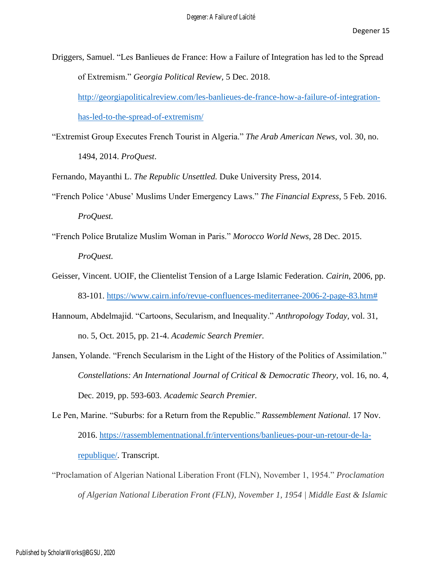Driggers, Samuel. "Les Banlieues de France: How a Failure of Integration has led to the Spread of Extremism." *Georgia Political Review,* 5 Dec. 2018.

[http://georgiapoliticalreview.com/les-banlieues-de-france-how-a-failure-of-integration](http://georgiapoliticalreview.com/les-banlieues-de-france-how-a-failure-of-integration-has-led-to-the-spread-of-extremism/)[has-led-to-the-spread-of-extremism/](http://georgiapoliticalreview.com/les-banlieues-de-france-how-a-failure-of-integration-has-led-to-the-spread-of-extremism/)

"Extremist Group Executes French Tourist in Algeria." *The Arab American News,* vol. 30, no.

1494, 2014. *ProQuest*.

Fernando, Mayanthi L. *The Republic Unsettled.* Duke University Press, 2014.

- "French Police 'Abuse' Muslims Under Emergency Laws." *The Financial Express,* 5 Feb. 2016. *ProQuest.*
- "French Police Brutalize Muslim Woman in Paris." *Morocco World News,* 28 Dec. 2015. *ProQuest.*
- Geisser, Vincent. UOIF, the Clientelist Tension of a Large Islamic Federation. *Cairin*, 2006, pp. 83-101. [https://www.cairn.info/revue-confluences-mediterranee-2006-2-page-83.htm#](https://www.cairn.info/revue-confluences-mediterranee-2006-2-page-83.htm)
- Hannoum, Abdelmajid. "Cartoons, Secularism, and Inequality." *Anthropology Today,* vol. 31, no. 5, Oct. 2015, pp. 21-4. *Academic Search Premier.*
- Jansen, Yolande. "French Secularism in the Light of the History of the Politics of Assimilation." *Constellations: An International Journal of Critical & Democratic Theory,* vol. 16, no. 4, Dec. 2019, pp. 593-603. *Academic Search Premier.*
- Le Pen, Marine. "Suburbs: for a Return from the Republic." *Rassemblement National.* 17 Nov. 2016. [https://rassemblementnational.fr/interventions/banlieues-pour-un-retour-de-la](https://rassemblementnational.fr/interventions/banlieues-pour-un-retour-de-la-republique/)[republique/.](https://rassemblementnational.fr/interventions/banlieues-pour-un-retour-de-la-republique/) Transcript.
- "Proclamation of Algerian National Liberation Front (FLN), November 1, 1954." *Proclamation of Algerian National Liberation Front (FLN), November 1, 1954 | Middle East & Islamic*